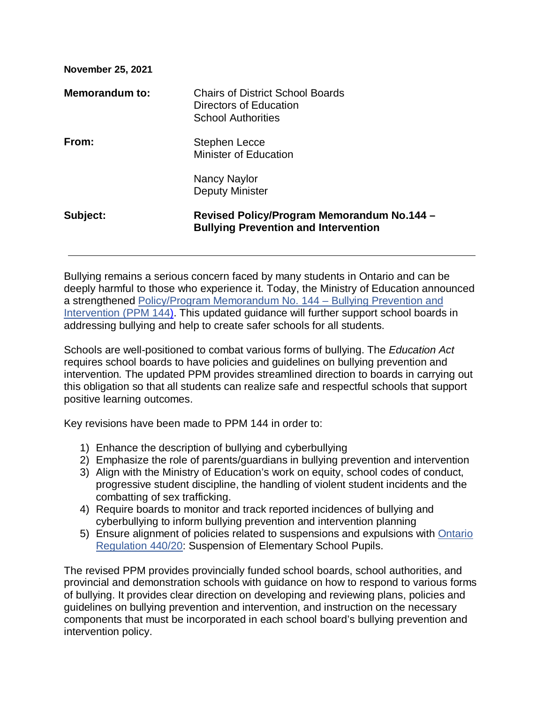| <b>November 25, 2021</b> |                                                                                                |
|--------------------------|------------------------------------------------------------------------------------------------|
| Memorandum to:           | <b>Chairs of District School Boards</b><br>Directors of Education<br><b>School Authorities</b> |
| From:                    | Stephen Lecce<br><b>Minister of Education</b>                                                  |
|                          | Nancy Naylor<br>Deputy Minister                                                                |
| Subject:                 | Revised Policy/Program Memorandum No.144 -<br><b>Bullying Prevention and Intervention</b>      |

Bullying remains a serious concern faced by many students in Ontario and can be deeply harmful to those who experience it. Today, the Ministry of Education announced a strengthened [Policy/Program Memorandum No. 144 –](https://www.ontario.ca/document/education-ontario-policy-and-program-direction/policyprogram-memorandum-144) Bullying Prevention and [Intervention \(PPM 144\).](https://www.ontario.ca/document/education-ontario-policy-and-program-direction/policyprogram-memorandum-144) This updated guidance will further support school boards in addressing bullying and help to create safer schools for all students.

Schools are well-positioned to combat various forms of bullying. The *Education Act*  requires school boards to have policies and guidelines on bullying prevention and intervention*.* The updated PPM provides streamlined direction to boards in carrying out this obligation so that all students can realize safe and respectful schools that support positive learning outcomes.

Key revisions have been made to PPM 144 in order to:

- 1) Enhance the description of bullying and cyberbullying
- 2) Emphasize the role of parents/guardians in bullying prevention and intervention
- 3) Align with the Ministry of Education's work on equity, school codes of conduct, progressive student discipline, the handling of violent student incidents and the combatting of sex trafficking.
- 4) Require boards to monitor and track reported incidences of bullying and cyberbullying to inform bullying prevention and intervention planning
- 5) Ensure alignment of policies related to suspensions and expulsions with [Ontario](https://www.ontario.ca/laws/regulation/r20440)  [Regulation 440/20:](https://www.ontario.ca/laws/regulation/r20440) Suspension of Elementary School Pupils.

The revised PPM provides provincially funded school boards, school authorities, and provincial and demonstration schools with guidance on how to respond to various forms of bullying. It provides clear direction on developing and reviewing plans, policies and guidelines on bullying prevention and intervention, and instruction on the necessary components that must be incorporated in each school board's bullying prevention and intervention policy.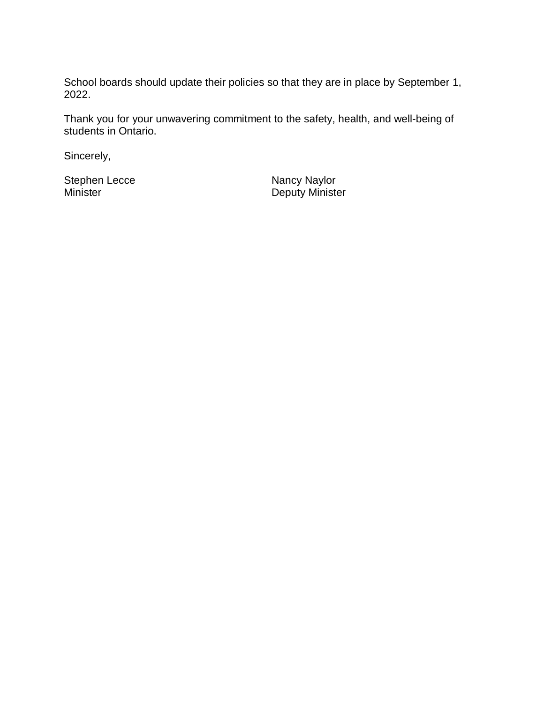School boards should update their policies so that they are in place by September 1, 2022.

Thank you for your unwavering commitment to the safety, health, and well-being of students in Ontario.

Sincerely,

Stephen Lecce<br>
Minister
Nancy Naylor<br>
Deputy Minist

Deputy Minister